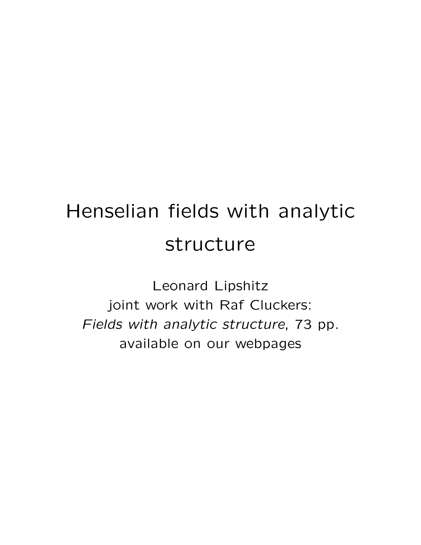# Henselian fields with analytic structure

Leonard Lipshitz joint work with Raf Cluckers: Fields with analytic structure, 73 pp. available on our webpages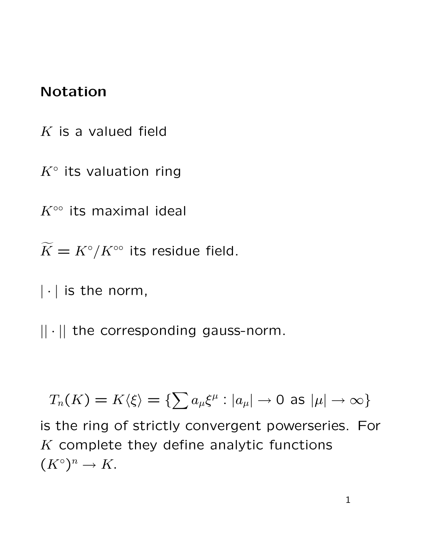## Notation

- $K$  is a valued field
- $K^{\circ}$  its valuation ring

 $K^{\circ\circ}$  its maximal ideal

 $\widetilde{K} = K^{\circ}/K^{\circ\circ}$  its residue field.

 $|\cdot|$  is the norm,

 $|| \cdot ||$  the corresponding gauss-norm.

$$
T_n(K) = K\langle \xi \rangle = \{ \sum a_\mu \xi^\mu : |a_\mu| \to 0 \text{ as } |\mu| \to \infty \}
$$

is the ring of strictly convergent powerseries. For  $K$  complete they define analytic functions  $(K^{\circ})^n \to K$ .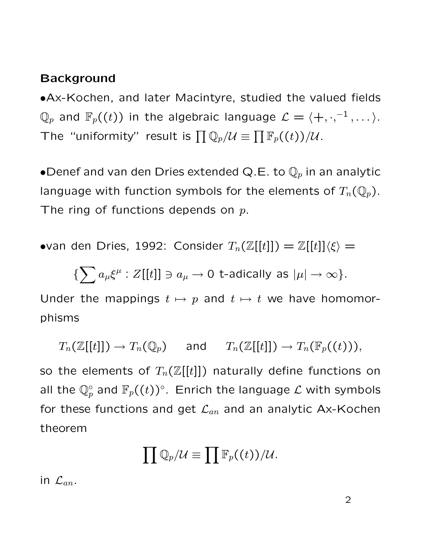#### **Background**

•Ax-Kochen, and later Macintyre, studied the valued fields  $\mathbb{Q}_p$  and  $\mathbb{F}_p((t))$  in the algebraic language  $\mathcal{L}=\langle +,\cdot, ^{-1},\dots\rangle.$ The "uniformity" result is  $\prod \mathbb{Q}_p/\mathcal{U} \equiv \prod \mathbb{F}_p((t))/\mathcal{U}$ .

•Denef and van den Dries extended Q.E. to  $\mathbb{Q}_p$  in an analytic language with function symbols for the elements of  $T_n(\mathbb{Q}_p)$ . The ring of functions depends on  $p$ .

•van den Dries, 1992: Consider  $T_n(\mathbb{Z}[[t]]) = \mathbb{Z}[[t]]\langle \xi \rangle = \mathbb{Z}[[t]]\langle \xi \rangle$ 

$$
\{\sum a_\mu \xi^\mu : Z[[t]] \ni a_\mu \to 0 \text{ t-adically as } |\mu| \to \infty\}.
$$

Under the mappings  $t \mapsto p$  and  $t \mapsto t$  we have homomorphisms

 $T_n(\mathbb{Z}[[t]]) \to T_n(\mathbb{Q}_p)$  and  $T_n(\mathbb{Z}[[t]]) \to T_n(\mathbb{F}_p((t))),$ so the elements of  $T_n(\mathbb{Z}[[t]])$  naturally define functions on all the  $\mathbb{Q}_p^{\circ}$  and  $\mathbb{F}_p((t))^{\circ}$ . Enrich the language  $\mathcal L$  with symbols for these functions and get  $\mathcal{L}_{an}$  and an analytic Ax-Kochen theorem

$$
\prod \mathbb{Q}_p/\mathcal{U} \equiv \prod \mathbb{F}_p((t))/\mathcal{U}.
$$

in  $\mathcal{L}_{an}$ .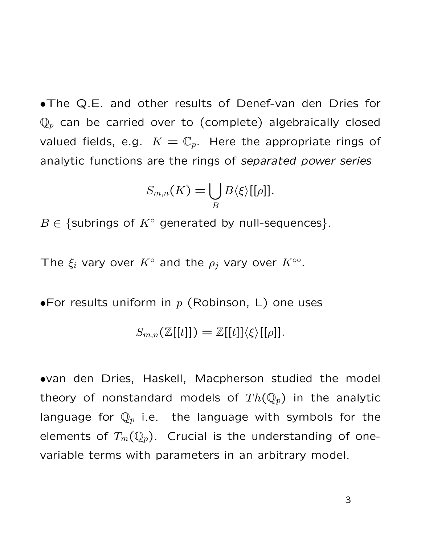•The Q.E. and other results of Denef-van den Dries for  $\mathbb{Q}_p$  can be carried over to (complete) algebraically closed valued fields, e.g.  $K = \mathbb{C}_p$ . Here the appropriate rings of analytic functions are the rings of separated power series

$$
S_{m,n}(K)=\bigcup_{B}B\langle \xi\rangle[[\rho]].
$$

 $B \in \{\text{subrings of } K^{\circ} \text{ generated by null-sequences}\}.$ 

The  $\xi_i$  vary over  $K^{\circ}$  and the  $\rho_j$  vary over  $K^{\circ\circ}$ .

•For results uniform in  $p$  (Robinson, L) one uses

$$
S_{m,n}(\mathbb{Z}[[t]]) = \mathbb{Z}[[t]]\langle \xi \rangle[[\rho]].
$$

•van den Dries, Haskell, Macpherson studied the model theory of nonstandard models of  $Th(\mathbb{Q}_p)$  in the analytic language for  $\mathbb{Q}_p$  i.e. the language with symbols for the elements of  $T_m(\mathbb{Q}_p)$ . Crucial is the understanding of onevariable terms with parameters in an arbitrary model.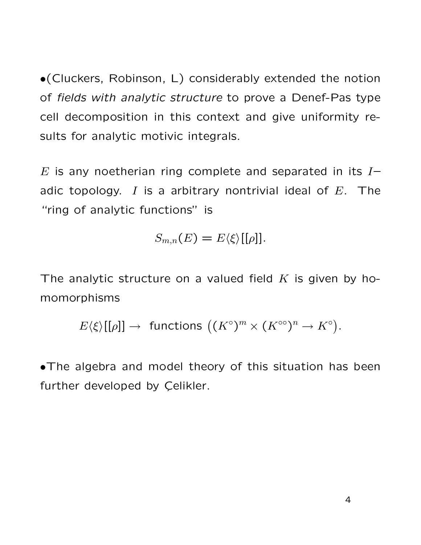•(Cluckers, Robinson, L) considerably extended the notion of fields with analytic structure to prove a Denef-Pas type cell decomposition in this context and give uniformity results for analytic motivic integrals.

 $E$  is any noetherian ring complete and separated in its  $I$ adic topology. I is a arbitrary nontrivial ideal of  $E$ . The "ring of analytic functions" is

$$
S_{m,n}(E)=E\langle \xi \rangle[[\rho]].
$$

The analytic structure on a valued field  $K$  is given by homomorphisms

$$
E\langle\xi\rangle[[\rho]]\rightarrow\text{ functions }( (K^\circ)^m\times (K^{\circ\circ})^n\rightarrow K^\circ).
$$

•The algebra and model theory of this situation has been further developed by Celikler.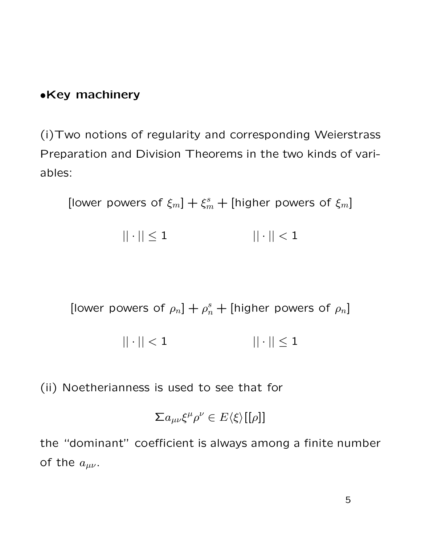#### •Key machinery

(i)Two notions of regularity and corresponding Weierstrass Preparation and Division Theorems in the two kinds of variables:

[lower powers of  $\xi_m$ ]  $+ \xi_m^s$  + [higher powers of  $\xi_m$ ]

$$
||\cdot|| \leq 1 \qquad \qquad ||\cdot|| < 1
$$

[lower powers of  $\rho_n$ ] +  $\rho_n^s$  + [higher powers of  $\rho_n$ ]

$$
||\cdot||<1
$$
  $||\cdot|| \leq 1$ 

(ii) Noetherianness is used to see that for

$$
\sum a_{\mu\nu}\xi^{\mu}\rho^{\nu}\in E\langle\xi\rangle[[\rho]]
$$

the "dominant" coefficient is always among a finite number of the  $a_{\mu\nu}$ .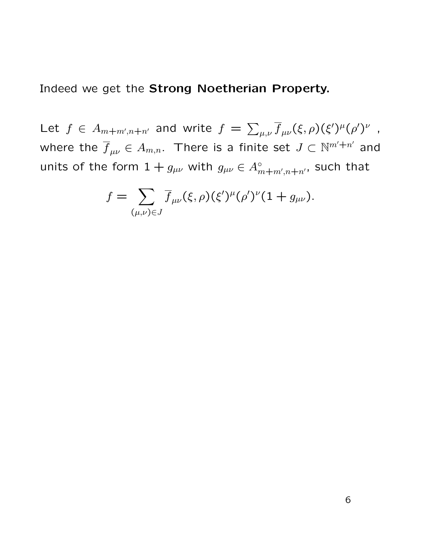Indeed we get the Strong Noetherian Property.

Let  $f \in A_{m+m',n+n'}$  and write  $f = \sum_{\mu,\nu} \overline{f}_{\mu\nu}(\xi,\rho)(\xi')^{\mu}(\rho')^{\nu}$  , where the  $\overline{f}_{\mu\nu}\in A_{m,n}.$  There is a finite set  $J\subset \mathbb{N}^{m'+n'}$  and units of the form  $1+g_{\mu\nu}$  with  $g_{\mu\nu}\in A_{m+m^{\prime},n+n^{\prime}}^{\circ}$ , such that

$$
f = \sum_{(\mu,\nu)\in J} \overline{f}_{\mu\nu}(\xi,\rho)(\xi')^{\mu}(\rho')^{\nu}(1+g_{\mu\nu}).
$$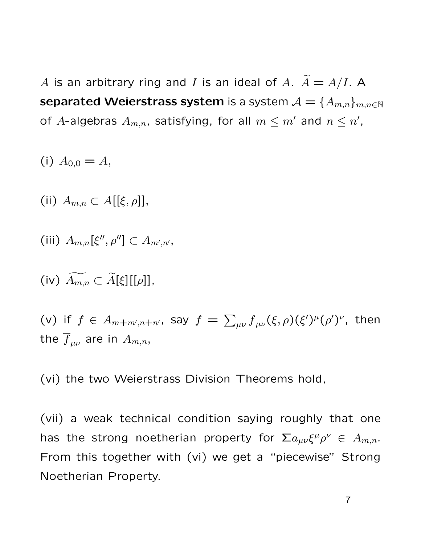A is an arbitrary ring and I is an ideal of A.  $\widetilde{A} = A/I$ . A separated Weierstrass system is a system  $\mathcal{A} = \{A_{m,n}\}_{m,n\in\mathbb{N}}$ of A-algebras  $A_{m,n}$ , satisfying, for all  $m\leq m'$  and  $n\leq n'$ ,

(i) 
$$
A_{0,0} = A
$$
,

(ii)  $A_{m,n} \subset A[[\xi, \rho]],$ 

$$
(iii) A_{m,n}[\xi'', \rho''] \subset A_{m',n'},
$$

(iv)  $\widetilde{A_{m,n}} \subset \widetilde{A}[\xi][[\rho]],$ 

(v) if  $f \in A_{m+m',n+n'}$ , say  $f = \sum_{\mu\nu} \overline{f}_{\mu\nu}(\xi,\rho)(\xi')^{\mu}(\rho')^{\nu}$ , then the  $\overline{f}_{\mu\nu}$  are in  $A_{m,n}$ ,

(vi) the two Weierstrass Division Theorems hold,

(vii) a weak technical condition saying roughly that one has the strong noetherian property for  $\sum a_{\mu\nu}\xi^{\mu}\rho^{\nu} \in A_{m,n}.$ From this together with (vi) we get a "piecewise" Strong Noetherian Property.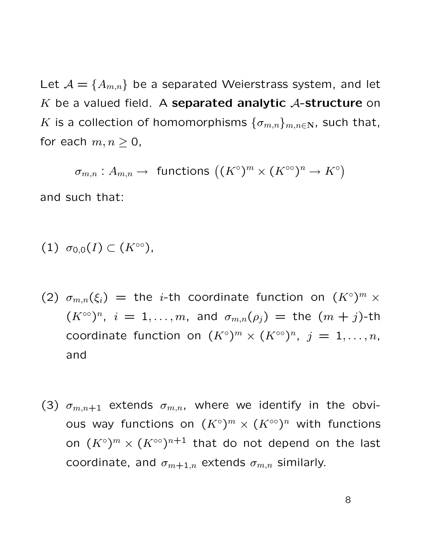Let  $\mathcal{A} = \{A_{m,n}\}\$  be a separated Weierstrass system, and let K be a valued field. A separated analytic  $A$ -structure on K is a collection of homomorphisms  $\{\sigma_{m,n}\}_{m,n\in\mathbf{N}}$ , such that, for each  $m, n \geq 0$ ,

 $\sigma_{m,n}:A_{m,n}\to\text{ functions }\big((K^\circ)^m\times (K^{\circ\circ})^n\to K^\circ\big)$ 

and such that:

(1) 
$$
\sigma_{0,0}(I) \subset (K^{\infty}),
$$

- (2)  $\sigma_{m,n}(\xi_i)$  = the *i*-th coordinate function on  $(K^{\circ})^m$  x  $(K^{\infty})^n$ ,  $i = 1, ..., m$ , and  $\sigma_{m,n}(\rho_j) =$  the  $(m + j)$ -th coordinate function on  $(K^{\circ})^m \times (K^{\circ\circ})^n$ ,  $j = 1, \ldots, n$ , and
- (3)  $\sigma_{m,n+1}$  extends  $\sigma_{m,n}$ , where we identify in the obvious way functions on  $(K^{\circ})^m\times (K^{\circ\circ})^n$  with functions on  $(K^{\circ})^{m}\times(K^{\circ\circ})^{n+1}$  that do not depend on the last coordinate, and  $\sigma_{m+1,n}$  extends  $\sigma_{m,n}$  similarly.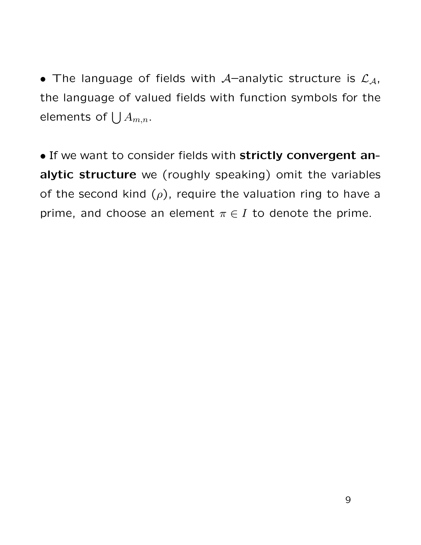• The language of fields with A–analytic structure is  $\mathcal{L}_{\mathcal{A}}$ , the language of valued fields with function symbols for the elements of  $\bigcup A_{m,n}.$ 

• If we want to consider fields with strictly convergent analytic structure we (roughly speaking) omit the variables of the second kind  $(\rho)$ , require the valuation ring to have a prime, and choose an element  $\pi \in I$  to denote the prime.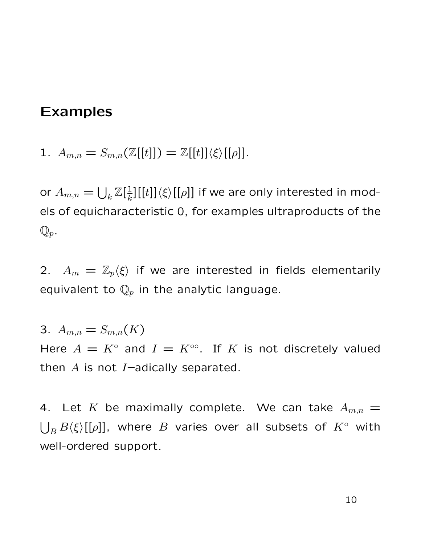## Examples

1.  $A_{m,n} = S_{m,n}(\mathbb{Z}[[t]]) = \mathbb{Z}[[t]]\langle \xi \rangle[[\rho]].$ 

or  $A_{m,n} = \bigcup_k \mathbb{Z}[\frac{1}{k}]$  $\frac{1}{k}$ ][[t]] $\langle \xi \rangle$ [[ $\rho$ ]] if we are only interested in models of equicharacteristic 0, for examples ultraproducts of the  $\mathbb{Q}_p$ .

2.  $A_m = \mathbb{Z}_p\langle \xi \rangle$  if we are interested in fields elementarily equivalent to  $\mathbb{Q}_p$  in the analytic language.

3.  $A_{m,n} = S_{m,n}(K)$ Here  $A = K^{\circ}$  and  $I = K^{\circ\circ}$ . If K is not discretely valued then  $A$  is not  $I$ -adically separated.

4. Let K be maximally complete. We can take  $A_{m,n} =$  $\bigcup_B B\langle \xi \rangle [[\rho]]$ , where  $B$  varies over all subsets of  $K^{\circ}$  with well-ordered support.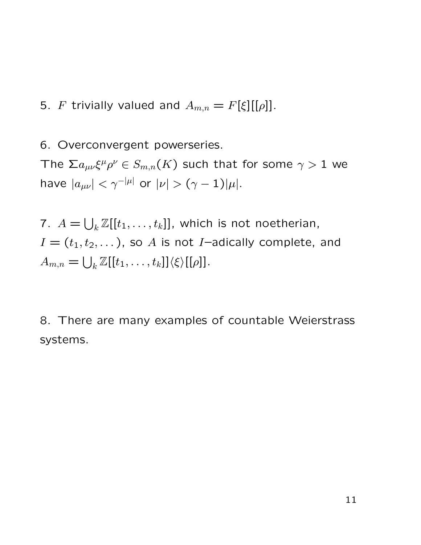5. F trivially valued and  $A_{m,n} = F[\xi][[\rho]]$ .

6. Overconvergent powerseries.

The  $\sum a_{\mu\nu}\xi^{\mu}\rho^{\nu}\in S_{m,n}(K)$  such that for some  $\gamma>1$  we have  $|a_{\mu\nu}| < \gamma^{-|\mu|}$  or  $|\nu| > (\gamma - 1)|\mu|$ .

7.  $A = \bigcup_k \mathbb{Z}[[t_1, \ldots, t_k]]$ , which is not noetherian,  $I = (t_1, t_2, \dots)$ , so A is not I-adically complete, and  $A_{m,n} = \bigcup_k \mathbb{Z}[[t_1,\ldots,t_k]]\langle \xi \rangle[[\rho]].$ 

8. There are many examples of countable Weierstrass systems.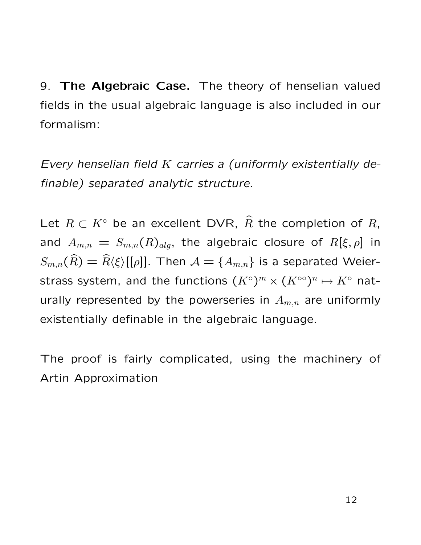9. The Algebraic Case. The theory of henselian valued fields in the usual algebraic language is also included in our formalism:

Every henselian field  $K$  carries a (uniformly existentially definable) separated analytic structure.

Let  $R \subset K^{\circ}$  be an excellent DVR,  $\widehat{R}$  the completion of R, and  $A_{m,n} = S_{m,n}(R)_{alg}$ , the algebraic closure of  $R[\xi, \rho]$  in  $S_{m,n}(\widehat{R}) = \widehat{R} \langle \xi \rangle [[\rho]].$  Then  $\mathcal{A} = \{A_{m,n}\}\$ is a separated Weierstrass system, and the functions  $(K^{\circ})^m \times (K^{\circ\circ})^n \mapsto K^{\circ}$  naturally represented by the powerseries in  $A_{m,n}$  are uniformly existentially definable in the algebraic language.

The proof is fairly complicated, using the machinery of Artin Approximation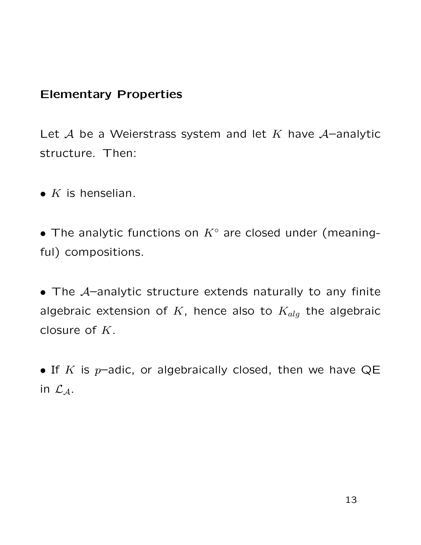### Elementary Properties

Let  $A$  be a Weierstrass system and let  $K$  have  $A$ -analytic structure. Then:

•  $K$  is henselian.

• The analytic functions on  $K^{\circ}$  are closed under (meaningful) compositions.

• The  $A$ -analytic structure extends naturally to any finite algebraic extension of K, hence also to  $K_{alg}$  the algebraic closure of  $K$ .

• If K is  $p$ -adic, or algebraically closed, then we have QE in  $\mathcal{L}_A$ .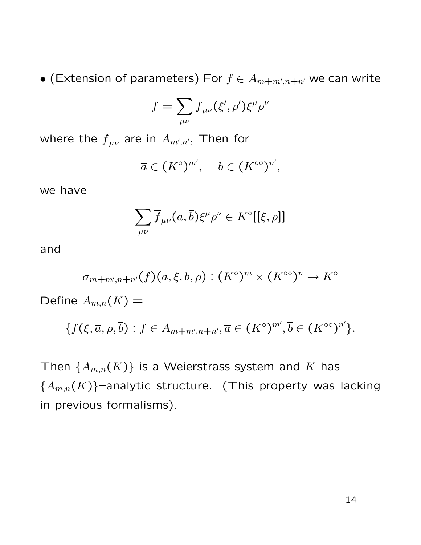$\bullet$  (Extension of parameters) For  $f\in A_{m+m',n+n'}$  we can write

$$
f = \sum_{\mu\nu} \overline{f}_{\mu\nu}(\xi', \rho') \xi^{\mu} \rho^{\nu}
$$

where the  $\overline f_{\mu\nu}$  are in  $A_{m',n'}$ , Then for

$$
\overline{a} \in (K^{\circ})^{m'}, \quad \overline{b} \in (K^{\circ\circ})^{n'},
$$

we have

$$
\sum_{\mu\nu}\overline{f}_{\mu\nu}(\overline{a},\overline{b})\xi^{\mu}\rho^{\nu}\in K^{\circ}[[\xi,\rho]]
$$

and

$$
\sigma_{m+m',n+n'}(f)(\overline{a},\xi,\overline{b},\rho):(K^\circ)^m\times(K^{\circ\circ})^n\to K^\circ
$$

Define  $A_{m,n}(K) =$ 

$$
\{f(\xi,\overline{a},\rho,\overline{b}) : f \in A_{m+m',n+n'}, \overline{a} \in (K^{\circ})^{m'}, \overline{b} \in (K^{\circ\circ})^{n'}\}.
$$

Then  $\{A_{m,n}(K)\}\$ is a Weierstrass system and K has  ${A_{m,n}(K)}$  -analytic structure. (This property was lacking in previous formalisms).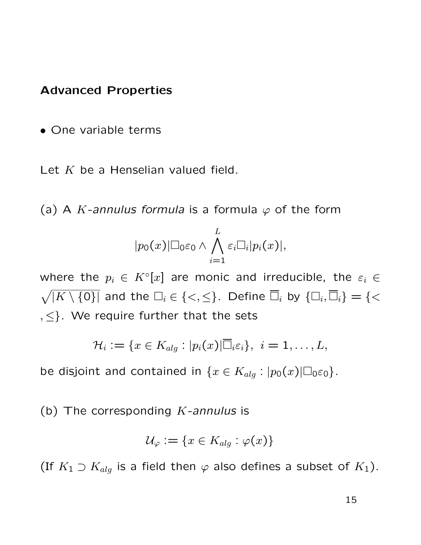#### Advanced Properties

• One variable terms

Let  $K$  be a Henselian valued field.

(a) A K-annulus formula is a formula  $\varphi$  of the form

$$
|p_0(x)| \Box_0 \varepsilon_0 \wedge \bigwedge_{i=1}^L \varepsilon_i \Box_i |p_i(x)|,
$$

where the  $p_i \in K^{\circ}[x]$  are monic and irreducible, the  $\varepsilon_i \in E$  $\sqrt{|K \setminus \{0\}|}$  and the  $\Box_i \in \{<,\leq\}$ . Define  $\overline{\Box}_i$  by  $\{\Box_i,\overline{\Box}_i\} = \{<\}$  $, \leq$  }. We require further that the sets

$$
\mathcal{H}_i := \{x \in K_{alg} : |p_i(x)| \overline{\Box}_i \varepsilon_i\}, \ i = 1, \ldots, L,
$$

be disjoint and contained in  $\{x \in K_{alg} : |p_0(x)| \Box_0 \varepsilon_0\}.$ 

(b) The corresponding  $K$ -annulus is

$$
\mathcal{U}_{\varphi} := \{ x \in K_{alg} : \varphi(x) \}
$$

(If  $K_1 \supset K_{alg}$  is a field then  $\varphi$  also defines a subset of  $K_1$ ).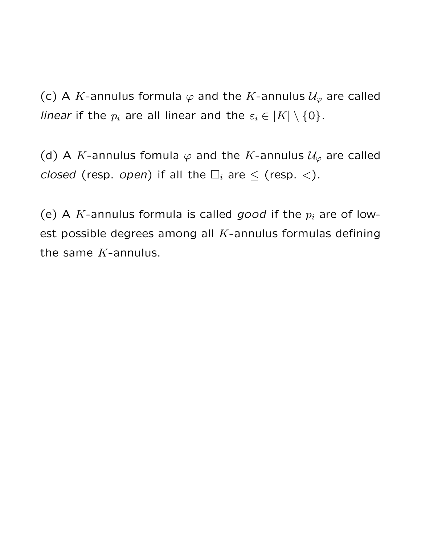(c) A K-annulus formula  $\varphi$  and the K-annulus  $\mathcal{U}_{\varphi}$  are called linear if the  $p_i$  are all linear and the  $\varepsilon_i \in |K| \setminus \{0\}$ .

(d) A K-annulus fomula  $\varphi$  and the K-annulus  $\mathcal{U}_{\varphi}$  are called closed (resp. open) if all the  $\Box_i$  are  $\le$  (resp.  $\lt$ ).

(e) A  $K$ -annulus formula is called good if the  $p_i$  are of lowest possible degrees among all  $K$ -annulus formulas defining the same  $K$ -annulus.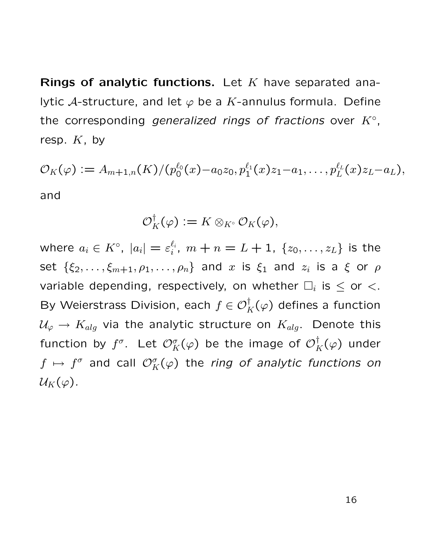**Rings of analytic functions.** Let  $K$  have separated analytic A-structure, and let  $\varphi$  be a K-annulus formula. Define the corresponding generalized rings of fractions over  $K^{\circ}$ , resp.  $K$ , by

$$
\mathcal{O}_K(\varphi) := A_{m+1,n}(K) / (p_0^{\ell_0}(x) - a_0 z_0, p_1^{\ell_1}(x) z_1 - a_1, \ldots, p_L^{\ell_L}(x) z_L - a_L),
$$

and

$$
\mathcal{O}_K^{\dagger}(\varphi) := K \otimes_{K^{\circ}} \mathcal{O}_K(\varphi),
$$

where  $a_i \in K^{\circ}, \ |a_i| = \varepsilon_i^{\ell_i}$  $\binom{\ell_i}{i},\;m+n=L+1,\;\{z_0,\ldots,z_L\}$  is the set  $\{\xi_2,\ldots,\xi_{m+1},\rho_1,\ldots,\rho_n\}$  and  $x$  is  $\xi_1$  and  $z_i$  is a  $\xi$  or  $\rho$ variable depending, respectively, on whether  $\Box_i$  is  $\leq$  or  $\lt$ . By Weierstrass Division, each  $f\in\mathcal{O}_K^{\dagger}(\varphi)$  defines a function  $\mathcal{U}_{\varphi} \to K_{alg}$  via the analytic structure on  $K_{alg}$ . Denote this function by  $f^\sigma$ . Let  $\mathcal{O}_K^\sigma(\varphi)$  be the image of  $\mathcal{O}_K^\dagger(\varphi)$  under  $f\,\mapsto\, f^\sigma$  and call  $\mathcal{O}^\sigma_K(\varphi)$  the ring of analytic functions on  $\mathcal{U}_K(\varphi)$ .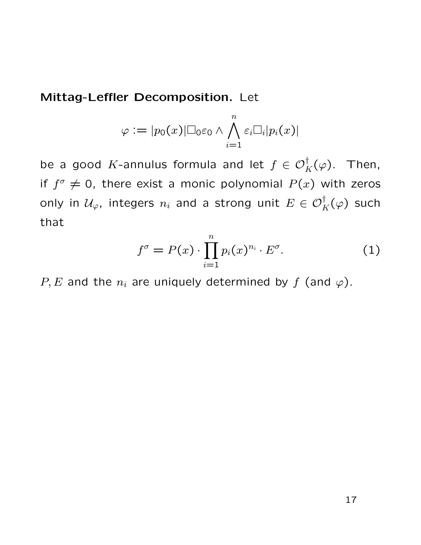Mittag-Leffler Decomposition. Let

$$
\varphi \mathrel{\mathop:}= |p_0(x)|\Box_0 \varepsilon_0 \wedge \bigwedge_{i=1}^n \varepsilon_i \Box_i |p_i(x)|
$$

be a good K-annulus formula and let  $f\in\mathcal{O}_K^{\dagger}(\varphi)$ . Then, if  $f^{\sigma} \neq 0$ , there exist a monic polynomial  $P(x)$  with zeros only in  $\mathcal{U}_{\varphi}$ , integers  $n_i$  and a strong unit  $E\in \mathcal{O}_K^{\dagger}(\varphi)$  such that

$$
f^{\sigma} = P(x) \cdot \prod_{i=1}^{n} p_i(x)^{n_i} \cdot E^{\sigma}.
$$
 (1)

P, E and the  $n_i$  are uniquely determined by f (and  $\varphi$ ).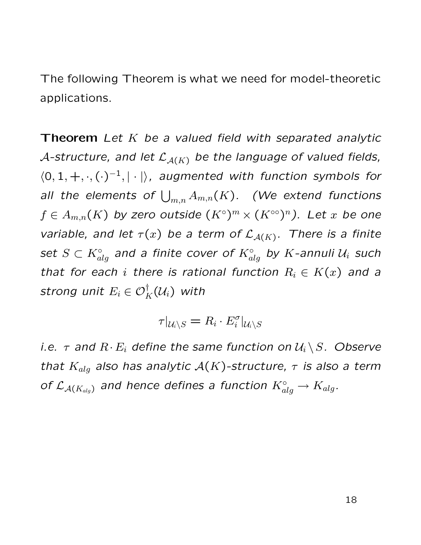The following Theorem is what we need for model-theoretic applications.

**Theorem** Let K be a valued field with separated analytic A-structure, and let  $\mathcal{L}_{\mathcal{A}(K)}$  be the language of valued fields,  $\langle 0, 1, +, \cdot, (\cdot)^{-1}, | \cdot | \rangle$ , augmented with function symbols for all the elements of  $\bigcup_{m,n} A_{m,n}(K)$ . (We extend functions  $f\in A_{m,n}(K)$  by zero outside  $(K^\circ)^m\times (K^{\circ\circ})^n).$  Let  $x$  be one variable, and let  $\tau(x)$  be a term of  $\mathcal{L}_{\mathcal{A}(K)}$ . There is a finite set  $S\subset K_{alg}^\circ$  and a finite cover of  $K_{alg}^\circ$  by  $K$ -annuli  $\mathcal U_i$  such that for each i there is rational function  $R_i \in K(x)$  and a strong unit  $E_i\in \mathcal{O}_K^{\dagger}(\mathcal{U}_i)$  with

$$
\tau|_{\mathcal{U}_i\setminus S}=R_i\cdot E_i^\sigma|_{\mathcal{U}_i\setminus S}
$$

*i.e.*  $\tau$  and  $R \cdot E_i$  define the same function on  $\mathcal{U}_i \setminus S$ . Observe that  $K_{alg}$  also has analytic  $\mathcal{A}(K)$ -structure,  $\tau$  is also a term of  $\mathcal{L}_{\mathcal{A}(K_{alg})}$  and hence defines a function  $K_{alg}^{\circ} \to K_{alg}.$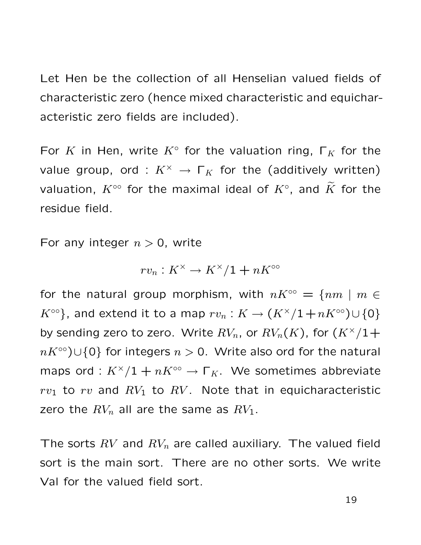Let Hen be the collection of all Henselian valued fields of characteristic zero (hence mixed characteristic and equicharacteristic zero fields are included).

For K in Hen, write  $K^{\circ}$  for the valuation ring,  $\Gamma_K$  for the value group, ord :  $K^{\times} \rightarrow \Gamma_K$  for the (additively written) valuation,  $K^{\circ\circ}$  for the maximal ideal of  $K^{\circ}$ , and  $\widetilde{K}$  for the residue field.

For any integer  $n > 0$ , write

$$
rv_n: K^\times \to K^\times/1+nK^{\circ\circ}
$$

for the natural group morphism, with  $nK^{\circ\circ} = \{nm \mid m \in$  $K^{\circ\circ}$ }, and extend it to a map  $rv_n: K \to (K^\times/1+nK^{\circ\circ})\cup\{0\}$ by sending zero to zero. Write  $RV_n$ , or  $RV_n(K)$ , for  $(K^{\times}/1+$  $nK^{\infty}$ )∪{0} for integers  $n > 0$ . Write also ord for the natural maps ord :  $K^{\times}/1 + nK^{\infty} \rightarrow \Gamma_K$ . We sometimes abbreviate  $rv_1$  to rv and  $RV_1$  to  $RV$ . Note that in equicharacteristic zero the  $RV_n$  all are the same as  $RV_1$ .

The sorts  $RV$  and  $RV_n$  are called auxiliary. The valued field sort is the main sort. There are no other sorts. We write Val for the valued field sort.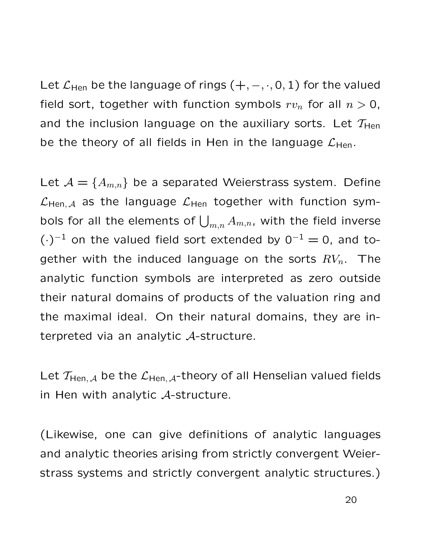Let  $\mathcal{L}_{\mathsf{Hen}}$  be the language of rings  $(+, -, \cdot, 0, 1)$  for the valued field sort, together with function symbols  $rv_n$  for all  $n > 0$ , and the inclusion language on the auxiliary sorts. Let  $T_{\text{Hen}}$ be the theory of all fields in Hen in the language  $\mathcal{L}_{\text{Hen}}$ .

Let  $\mathcal{A} = \{A_{m,n}\}\$  be a separated Weierstrass system. Define  $\mathcal{L}_{\text{Hen}, \mathcal{A}}$  as the language  $\mathcal{L}_{\text{Hen}}$  together with function symbols for all the elements of  $\bigcup_{m,n} A_{m,n}$ , with the field inverse  $(\cdot)^{-1}$  on the valued field sort extended by  $0^{-1} = 0$ , and together with the induced language on the sorts  $RV_n$ . The analytic function symbols are interpreted as zero outside their natural domains of products of the valuation ring and the maximal ideal. On their natural domains, they are interpreted via an analytic A-structure.

Let  $T_{\text{Hen}, \mathcal{A}}$  be the  $\mathcal{L}_{\text{Hen}, \mathcal{A}}$ -theory of all Henselian valued fields in Hen with analytic A-structure.

(Likewise, one can give definitions of analytic languages and analytic theories arising from strictly convergent Weierstrass systems and strictly convergent analytic structures.)